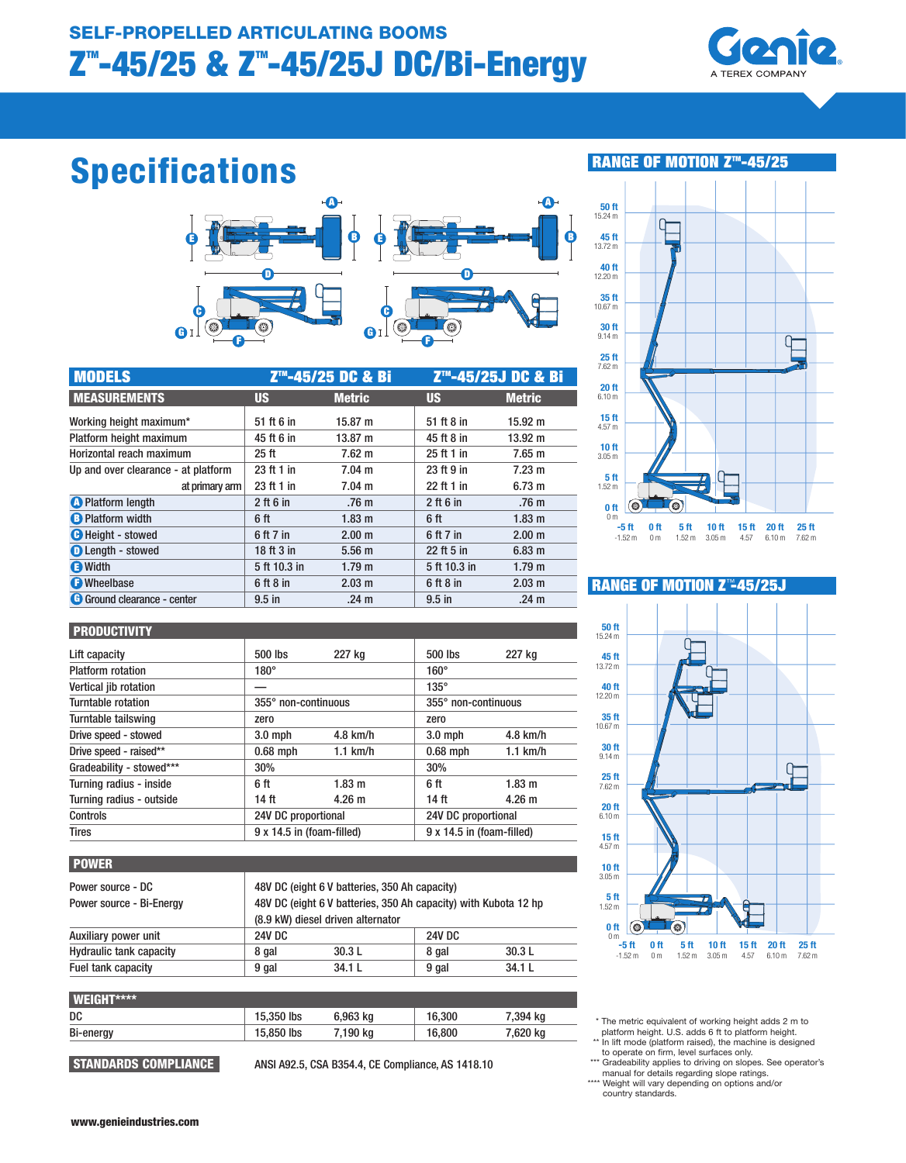

# Specifications



| <b>MODELS</b>                       |                  | Z <sup>™</sup> -45/25 DC & Bi |               | Z <sup>™</sup> -45/25J DC & Bi |
|-------------------------------------|------------------|-------------------------------|---------------|--------------------------------|
| <b>MEASUREMENTS</b>                 | <b>US</b>        | <b>Metric</b>                 | <b>US</b>     | <b>Metric</b>                  |
| Working height maximum*             | 51 ft 6 in       | 15.87 m                       | 51 ft 8 in    | $15.92 \text{ m}$              |
| Platform height maximum             | 45 ft 6 in       | 13.87 m                       | 45 ft 8 in    | $13.92 \text{ m}$              |
| Horizontal reach maximum            | 25 <sub>ft</sub> | $7.62 \text{ m}$              | 25 ft 1 in    | $7.65 \text{ m}$               |
| Up and over clearance - at platform | 23 ft 1 in       | $7.04 \text{ m}$              | 23 ft 9 in    | $7.23 \text{ m}$               |
| at primary arm                      | 23 ft 1 in       | $7.04 \text{ m}$              | 22 ft 1 in    | 6.73 m                         |
| <b>A</b> Platform length            | $2$ ft 6 in      | .76 <sub>m</sub>              | $2$ ft 6 in   | .76 <sub>m</sub>               |
| <b>B</b> Platform width             | 6 ft             | 1.83 <sub>m</sub>             | 6 ft          | $1.83 \text{ m}$               |
| <b>O</b> Height - stowed            | 6 ft 7 in        | 2.00 m                        | 6 ft 7 in     | 2.00 m                         |
| <b>O</b> Length - stowed            | 18 ft 3 in       | 5.56 <sub>m</sub>             | 22 ft 5 in    | $6.83 \text{ m}$               |
| <b>O</b> Width                      | 5 ft 10.3 in     | 1.79 <sub>m</sub>             | 5 ft 10.3 in  | 1.79 <sub>m</sub>              |
| <b>O</b> Wheelbase                  | 6 ft 8 in        | 2.03 m                        | $6$ ft $8$ in | 2.03 m                         |
| <b>G</b> Ground clearance - center  | $9.5$ in         | .24 <sub>m</sub>              | $9.5$ in      | .24 <sub>m</sub>               |

# RANGE OF MOTION Z<sup>m</sup>-45/25



#### **PRODUCTIVITY**

| I FRUPUGHNIH             |             |                           |             |                           |  |
|--------------------------|-------------|---------------------------|-------------|---------------------------|--|
| Lift capacity            | 500 lbs     | 227 ka                    | 500 lbs     | 227 kg                    |  |
| <b>Platform rotation</b> | $180^\circ$ |                           | $160^\circ$ |                           |  |
| Vertical jib rotation    |             |                           | $135^\circ$ |                           |  |
| Turntable rotation       |             | 355° non-continuous       |             | 355° non-continuous       |  |
| Turntable tailswing      | zero        |                           | zero        |                           |  |
| Drive speed - stowed     | $3.0$ mph   | $4.8$ km/h                | $3.0$ mph   | $4.8$ km/h                |  |
| Drive speed - raised**   | $0.68$ mph  | $1.1$ km/h                | $0.68$ mph  | $1.1$ km/h                |  |
| Gradeability - stowed*** | 30%         |                           | 30%         |                           |  |
| Turning radius - inside  | 6 ft        | 1.83 <sub>m</sub>         | 6 ft        | 1.83 <sub>m</sub>         |  |
| Turning radius - outside | 14 ft       | $4.26 \text{ m}$          | 14 ft       | 4.26 <sub>m</sub>         |  |
| Controls                 |             | 24V DC proportional       |             | 24V DC proportional       |  |
| <b>Tires</b>             |             | 9 x 14.5 in (foam-filled) |             | 9 x 14.5 in (foam-filled) |  |

#### POWER

| Power source - DC<br>Power source - Bi-Energy | 48V DC (eight 6 V batteries, 350 Ah capacity)<br>48V DC (eight 6 V batteries, 350 Ah capacity) with Kubota 12 hp<br>(8.9 kW) diesel driven alternator |        |               |        |
|-----------------------------------------------|-------------------------------------------------------------------------------------------------------------------------------------------------------|--------|---------------|--------|
| Auxiliary power unit                          | <b>24V DC</b>                                                                                                                                         |        | <b>24V DC</b> |        |
| <b>Hydraulic tank capacity</b>                | 8 gal                                                                                                                                                 | 30.3L  | 8 gal         | 30.3L  |
| Fuel tank capacity                            | 9 gal                                                                                                                                                 | 34.1 L | 9 gal         | 34.1 L |

| <b>WEIGHT****</b> |            |          |        |          |
|-------------------|------------|----------|--------|----------|
| DC                | 15,350 lbs | 6,963 kg | 16.300 | 7,394 kg |
| Bi-energy         | 15,850 lbs | 7,190 kg | 16.800 | 7,620 kg |
|                   |            |          |        |          |

STANDARDS COMPLIANCE ANSI A92.5, CSA B354.4, CE Compliance, AS 1418.10

# **RANGE OF MOTION Z™45/25J**



- \* The metric equivalent of working height adds 2 m to platform height. U.S. adds 6 ft to platform height. \*\* In lift mode (platform raised), the machine is designed
- to operate on firm, level surfaces only. \*\*\* Gradeability applies to driving on slopes. See operator's
- manual for details regarding slope ratings.
- \*\*\*\* Weight will vary depending on options and/or country standards.